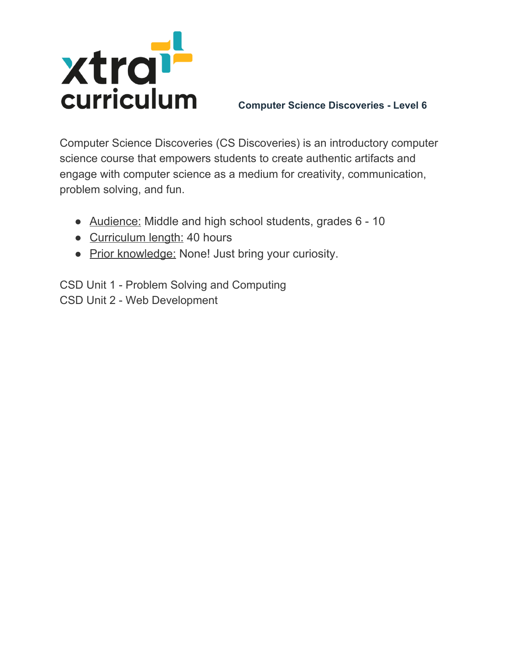

Computer Science Discoveries (CS Discoveries) is an introductory computer science course that empowers students to create authentic artifacts and engage with computer science as a medium for creativity, communication, problem solving, and fun.

- Audience: Middle and high school students, grades 6 10
- Curriculum length: 40 hours
- Prior knowledge: None! Just bring your curiosity.

CSD Unit 1 - Problem Solving and Computing CSD Unit 2 - Web Development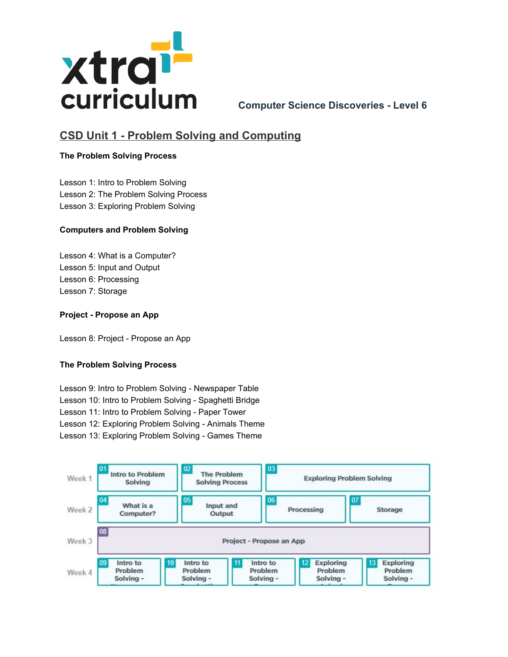

# **CSD Unit 1 - Problem Solving and Computing**

### **The Problem Solving Process**

Lesson 1: Intro to Problem Solving Lesson 2: The Problem Solving Process Lesson 3: Exploring Problem Solving

#### **Computers and Problem Solving**

Lesson 4: What is a Computer? Lesson 5: Input and Output Lesson 6: Processing Lesson 7: Storage

#### **Project - Propose an App**

Lesson 8: Project - Propose an App

#### **The Problem Solving Process**

Lesson 9: Intro to Problem Solving - Newspaper Table Lesson 10: Intro to Problem Solving - Spaghetti Bridge Lesson 11: Intro to Problem Solving - Paper Tower Lesson 12: Exploring Problem Solving - Animals Theme Lesson 13: Exploring Problem Solving - Games Theme

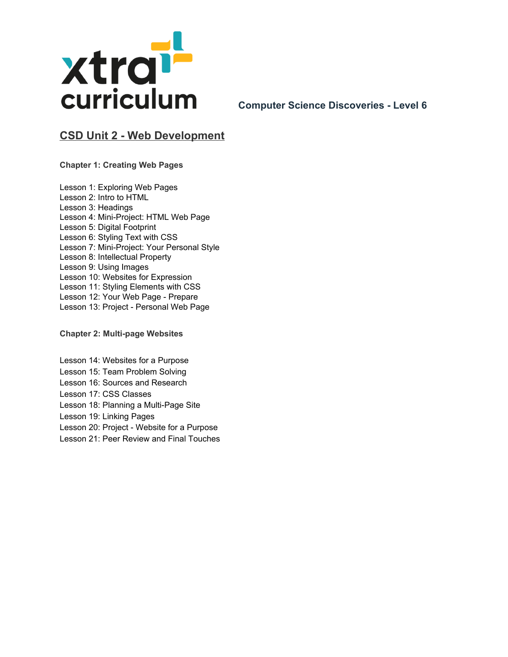

## **CSD Unit 2 - Web Development**

**Chapter 1: Creating Web Pages**

Lesson 1: Exploring Web Pages Lesson 2: Intro to HTML Lesson 3: Headings Lesson 4: Mini-Project: HTML Web Page Lesson 5: Digital Footprint Lesson 6: Styling Text with CSS Lesson 7: Mini-Project: Your Personal Style Lesson 8: Intellectual Property Lesson 9: Using [Images](https://curriculum.code.org/csd-20/unit2/9/) Lesson 10: Websites for Expression Lesson 11: Styling Elements with CSS Lesson 12: Your Web Page - [Prepare](https://curriculum.code.org/csd-20/unit2/12/) Lesson 13: Project - Personal Web Page

**Chapter 2: Multi-page Websites**

Lesson 14: [Websites](https://curriculum.code.org/csd-20/unit2/14/) for a Purpose Lesson 15: Team Problem Solving Lesson 16: Sources and Research Lesson 17: CSS Classes Lesson 18: Planning a [Multi-Page](https://curriculum.code.org/csd-20/unit2/18/) Site Lesson 19: Linking Pages Lesson 20: Project - Website for a [Purpose](https://curriculum.code.org/csd-20/unit2/20/) Lesson 21: Peer Review and Final Touches